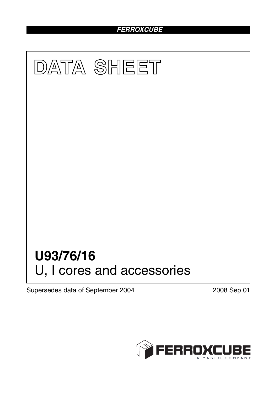## *FERROXCUBE*



Supersedes data of September 2004 2008 Sep 01

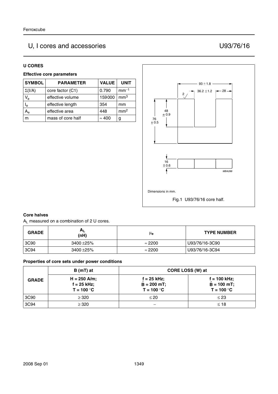# U, I cores and accessories U93/76/16

#### **U CORES**

### **Effective core parameters**

| <b>SYMBOL</b>           | <b>PARAMETER</b>  | <b>VALUE</b>  | <b>UNIT</b>     |
|-------------------------|-------------------|---------------|-----------------|
| $\Sigma(I/A)$           | core factor (C1)  | 0.790         | $mm-1$          |
| $V_{e}$                 | effective volume  | 159000        | mm <sup>3</sup> |
| $\mathsf{I}_\mathsf{e}$ | effective length  | 354           | mm              |
| A۵                      | effective area    | 448           | mm <sup>2</sup> |
| m                       | mass of core half | $\approx 400$ | g               |



#### **Core halves**

AL measured on a combination of 2 U cores.

| <b>GRADE</b> | $A_L$<br>(nH) | μe             | <b>TYPE NUMBER</b> |
|--------------|---------------|----------------|--------------------|
| 3C90         | 3400 ±25%     | $\approx 2200$ | U93/76/16-3C90     |
| 3C94         | 3400 ±25%     | $\approx$ 2200 | U93/76/16-3C94     |

#### **Properties of core sets under power conditions**

|              | B (mT) at                                       | CORE LOSS (W) at                              |                                                 |
|--------------|-------------------------------------------------|-----------------------------------------------|-------------------------------------------------|
| <b>GRADE</b> | $H = 250$ A/m;<br>$f = 25$ kHz;<br>$T = 100 °C$ | f = 25 kHz;<br>$B = 200 mT$ ;<br>$T = 100 °C$ | $f = 100$ kHz;<br>$B = 100$ mT;<br>$T = 100 °C$ |
| 3C90         | $\geq$ 320                                      | $\leq 20$                                     | $\leq 23$                                       |
| 3C94         | $\geq 320$                                      |                                               | $\leq 18$                                       |